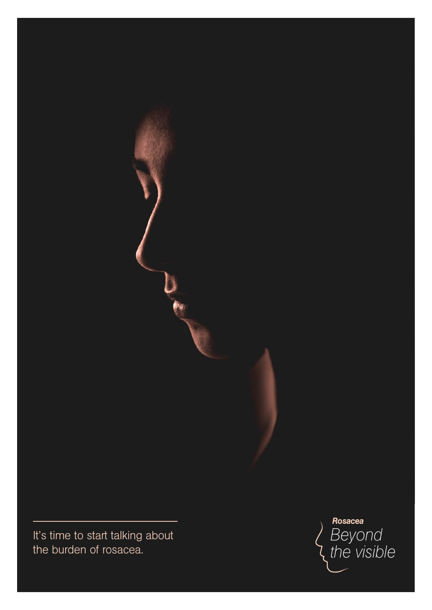*It's time to start talking about the burden of rosacea.*

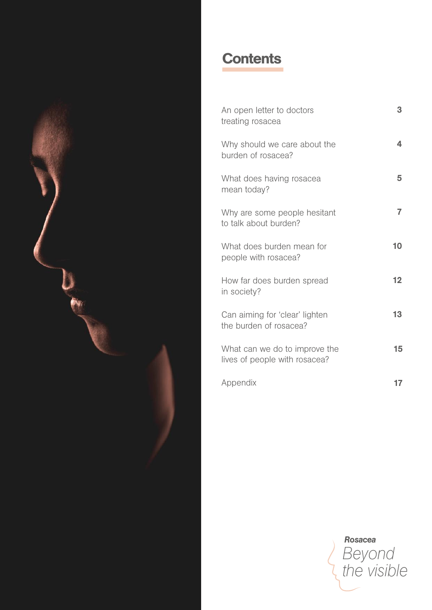

# **Contents**

| An open letter to doctors<br>treating rosacea                  | 3  |
|----------------------------------------------------------------|----|
| Why should we care about the<br>burden of rosacea?             | 4  |
| What does having rosacea<br>mean today?                        | 5  |
| Why are some people hesitant<br>to talk about burden?          | 7  |
| What does burden mean for<br>people with rosacea?              | 10 |
| How far does burden spread<br>in society?                      | 12 |
| Can aiming for 'clear' lighten<br>the burden of rosacea?       | 13 |
| What can we do to improve the<br>lives of people with rosacea? | 15 |
| Appendix                                                       | 17 |

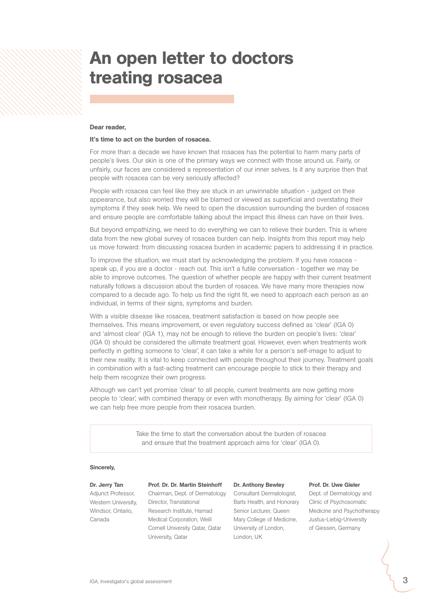## An open letter to doctors treating rosacea

#### Dear reader,

#### It's time to act on the burden of rosacea.

For more than a decade we have known that rosacea has the potential to harm many parts of *people's lives. Our skin is one of the primary ways we connect with those around us. Fairly, or unfairly, our faces are considered a representation of our inner selves. Is it any surprise then that people with rosacea can be very seriously affected?*

*People with rosacea can feel like they are stuck in an unwinnable situation - judged on their appearance, but also worried they will be blamed or viewed as superficial and overstating their symptoms if they seek help. We need to open the discussion surrounding the burden of rosacea and ensure people are comfortable talking about the impact this illness can have on their lives.*

*But beyond empathizing, we need to do everything we can to relieve their burden. This is where*  data from the new global survey of rosacea burden can help. Insights from this report may help *us move forward: from discussing rosacea burden in academic papers to addressing it in practice.* 

*To improve the situation, we must start by acknowledging the problem. If you have rosacea speak up, if you are a doctor - reach out. This isn't a futile conversation - together we may be*  able to improve outcomes. The question of whether people are happy with their current treatment *naturally follows a discussion about the burden of rosacea. We have many more therapies now compared to a decade ago. To help us find the right fit, we need to approach each person as an individual, in terms of their signs, symptoms and burden.*

*With a visible disease like rosacea, treatment satisfaction is based on how people see themselves. This means improvement, or even regulatory success defined as 'clear' (IGA 0) and 'almost clear' (IGA 1), may not be enough to relieve the burden on people's lives: 'clear' (IGA 0) should be considered the ultimate treatment goal. However, even when treatments work perfectly in getting someone to 'clear', it can take a while for a person's self-image to adjust to their new reality. It is vital to keep connected with people throughout their journey. Treatment goals in combination with a fast-acting treatment can encourage people to stick to their therapy and help them recognize their own progress.* 

*Although we can't yet promise 'clear' to all people, current treatments are now getting more people to 'clear', with combined therapy or even with monotherapy. By aiming for 'clear' (IGA 0) we can help free more people from their rosacea burden.* 

> *Take the time to start the conversation about the burden of rosacea and ensure that the treatment approach aims for 'clear' (IGA 0).*

#### Sincerely,

#### Dr. Jerry Tan

*Adjunct Professor, Western University, Windsor, Ontario, Canada*

#### Prof. Dr. Dr. Martin Steinhoff

*Chairman, Dept. of Dermatology Consultant Dermatologist, Director, Translational Research Institute, Hamad Medical Corporation, Weill Cornell University Qatar, Qatar University, Qatar* 

#### Dr. Anthony Bewley

*Barts Health, and Honorary Senior Lecturer, Queen Mary College of Medicine, University of London, London, UK*

#### Prof. Dr. Uwe Gieler

*Dept. of Dermatology and Clinic of Psychosomatic Medicine and Psychotherapy Justus-Liebig-University of Giessen, Germany*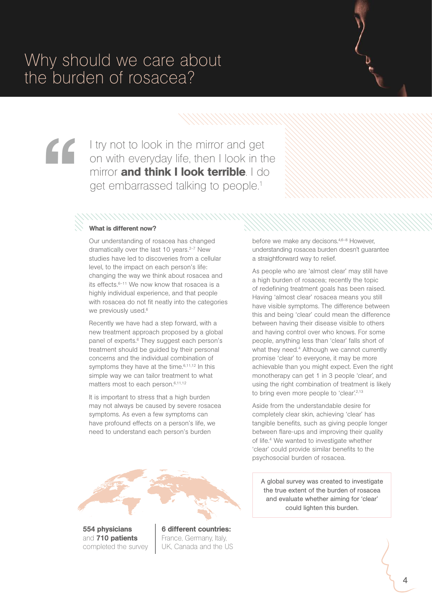I try not to look in the mirror and get<br>on with everyday life, then I look in t<br>mirror **and think I look terrible**. I d<br>get embarrassed talking to people.<sup>1</sup> on with everyday life, then I look in the mirror and think I look terrible. I do get embarrassed talking to people.<sup>1</sup>

#### What is different now?

*Our understanding of rosacea has changed dramatically over the last 10 years.2–7 New studies have led to discoveries from a cellular level, to the impact on each person's life: changing the way we think about rosacea and its effects.6–11 We now know that rosacea is a highly individual experience, and that people with rosacea do not fit neatly into the categories we previously used.6*

*Recently we have had a step forward, with a new treatment approach proposed by a global panel of experts.6 They suggest each person's treatment should be guided by their personal concerns and the individual combination of symptoms they have at the time.6,11,12 In this simple way we can tailor treatment to what matters most to each person.6,11,12*

*It is important to stress that a high burden may not always be caused by severe rosacea symptoms. As even a few symptoms can have profound effects on a person's life, we need to understand each person's burden* 



554 physicians and 710 patients completed the survey 6 different countries: France, Germany, Italy, UK, Canada and the US *before we make any decisons.4,6–8 However, understanding rosacea burden doesn't guarantee a straightforward way to relief.*

*As people who are 'almost clear' may still have a high burden of rosacea; recently the topic of redefining treatment goals has been raised. Having 'almost clear' rosacea means you still have visible symptoms. The difference between this and being 'clear' could mean the difference between having their disease visible to others and having control over who knows. For some people, anything less than 'clear' falls short of what they need.4 Although we cannot currently promise 'clear' to everyone, it may be more achievable than you might expect. Even the right monotherapy can get 1 in 3 people 'clear', and using the right combination of treatment is likely to bring even more people to 'clear'.2,13*

*Aside from the understandable desire for completely clear skin, achieving 'clear' has tangible benefits, such as giving people longer between flare-ups and improving their quality of life.4 We wanted to investigate whether 'clear' could provide similar benefits to the psychosocial burden of rosacea.* 

*A global survey was created to investigate the true extent of the burden of rosacea and evaluate whether aiming for 'clear' could lighten this burden.*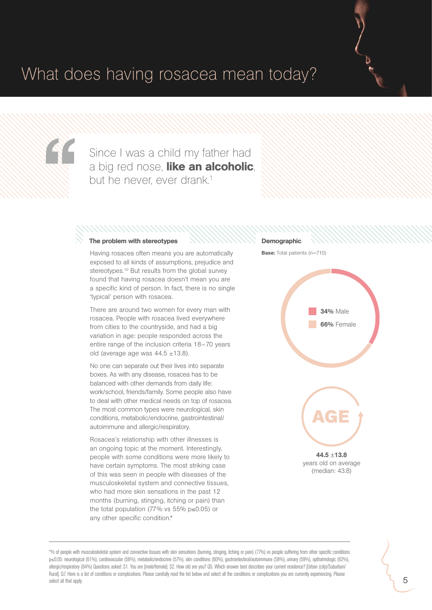# What does having rosacea mean today?

" Separate de la Caracción

Since I was a child my father had a big red nose, like an alcoholic, but he never, ever drank.<sup>1</sup>

### The problem with stereotypes

#### *Having rosacea often means you are automatically exposed to all kinds of assumptions, prejudice and stereotypes.10 But results from the global survey found that having rosacea doesn't mean you are a specific kind of person. In fact, there is no single 'typical' person with rosacea.*

*There are around two women for every man with rosacea. People with rosacea lived everywhere from cities to the countryside, and had a big variation in age: people responded across the entire range of the inclusion criteria 18*−*70 years old (average age was 44.5* ±*13.8).*

*No one can separate out their lives into separate boxes. As with any disease, rosacea has to be balanced with other demands from daily life: work/school, friends/family. Some people also have to deal with other medical needs on top of rosacea. The most common types were neurological, skin conditions, metabolic/endocrine, gastrointestinal/ autoimmune and allergic/respiratory.* 

*Rosacea's relationship with other illnesses is an ongoing topic at the moment. Interestingly, people with some conditions were more likely to have certain symptoms. The most striking case of this was seen in people with diseases of the musculoskeletal system and connective tissues, who had more skin sensations in the past 12 months (burning, stinging, itching or pain) than the total population (77% vs 55% p*≤*0.05) or any other specific condition.\**



### **Demographic**

Base: *Total patients (n=710)*



\*% of people with musculoskeletal system and connective tissues with skin sensations (burning, stinging, itching or pain) (77%) vs people suffering from other specific conditions p≤0.05: neurological (61%), cardiovascular (56%), metabolic/endocrine (57%), skin conditions (60%), gastrointestinal/autoimmune (58%), urinary (59%), opthalmologic (62%), allergic/respiratory (64%) Questions asked: S1. You are [male/female]. S2. How old are you? Q5. Which answer best describes your current residence? [Urban (city)/Suburban/ Rural]. Q7. Here is a list of conditions or complications. Please carefully read the list below and select all the conditions or complications you are currently experiencing. Please select all that apply.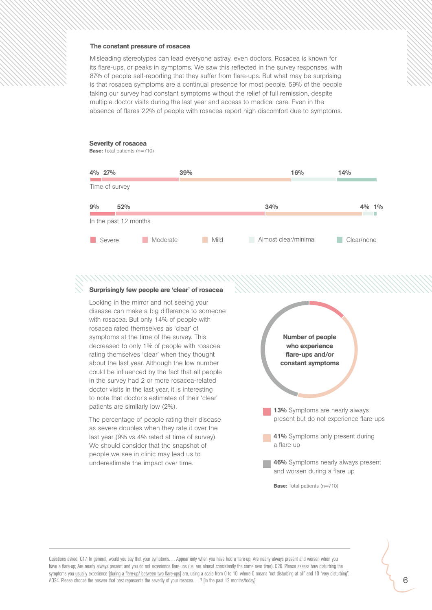#### The constant pressure of rosacea

*Misleading stereotypes can lead everyone astray, even doctors. Rosacea is known for its flare-ups, or peaks in symptoms. We saw this reflected in the survey responses, with 87% of people self-reporting that they suffer from flare-ups. But what may be surprising is that rosacea symptoms are a continual presence for most people. 59% of the people* taking our survey had constant symptoms without the relief of full remission, despite *multiple doctor visits during the last year and access to medical care. Even in the absence of flares 22% of people with rosacea report high discomfort due to symptoms.*

#### Severity of rosacea

Base: *Total patients (n=710)*



#### *NNNNNNNNNNNN* Surprisingly few people are 'clear' of rosacea

*Looking in the mirror and not seeing your disease can make a big difference to someone with rosacea. But only 14% of people with rosacea rated themselves as 'clear' of symptoms at the time of the survey. This decreased to only 1% of people with rosacea rating themselves 'clear' when they thought about the last year. Although the low number could be influenced by the fact that all people in the survey had 2 or more rosacea-related doctor visits in the last year, it is interesting to note that doctor's estimates of their 'clear' patients are similarly low (2%).*

*The percentage of people rating their disease as severe doubles when they rate it over the last year (9% vs 4% rated at time of survey). We should consider that the snapshot of people we see in clinic may lead us to underestimate the impact over time.* 

Number of people who experience flare-ups and/or constant symptoms

- **13%** Symptoms are nearly always *a flare-up present but do not experience flare-ups*
- **41%** Symptoms only present during **46%** *Symptoms are nearly always present a flare up*
- and worsen during a flare up 46% *Symptoms nearly always present*

Base: *Total patients (n=710)*

Questions asked: Q17. In general, would you say that your symptoms. . . Appear only when you have had a flare-up; Are nearly always present and worsen when you have a flare-up; Are nearly always present and you do not experience flare-ups (i.e. are almost consistently the same over time). Q26. Please assess how disturbing the symptoms you usually experience [during a flare-up/ between two flare-ups] are, using a scale from 0 to 10, where 0 means "not disturbing at all" and 10 "very disturbing". AQ24. Please choose the answer that best represents the severity of your rosacea. . . ? [In the past 12 months/today].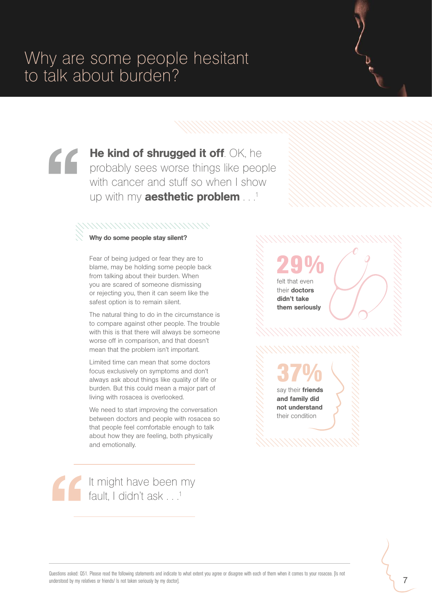**He kind of shrugged it off**. OK, he probably sees worse things like peop with cancer and stuff so when I show up with my **aesthetic problem** probably sees worse things like people with cancer and stuff so when I show up with my **aesthetic problem** . .<sup>1</sup>

### 

#### Why do some people stay silent?

*Fear of being judged or fear they are to blame, may be holding some people back from talking about their burden. When you are scared of someone dismissing or rejecting you, then it can seem like the safest option is to remain silent.* 

*The natural thing to do in the circumstance is to compare against other people. The trouble with this is that there will always be someone worse off in comparison, and that doesn't mean that the problem isn't important.* 

*Limited time can mean that some doctors focus exclusively on symptoms and don't always ask about things like quality of life or burden. But this could mean a major part of living with rosacea is overlooked.*

*We need to start improving the conversation between doctors and people with rosacea so that people feel comfortable enough to talk about how they are feeling, both physically and emotionally.* 

*29%*

*felt that even their* doctors didn't take them seriously

*37%* say their **friends** 

and family did not understand *their condition*

" It might have been my fault, I didn't ask . . .<sup>1</sup>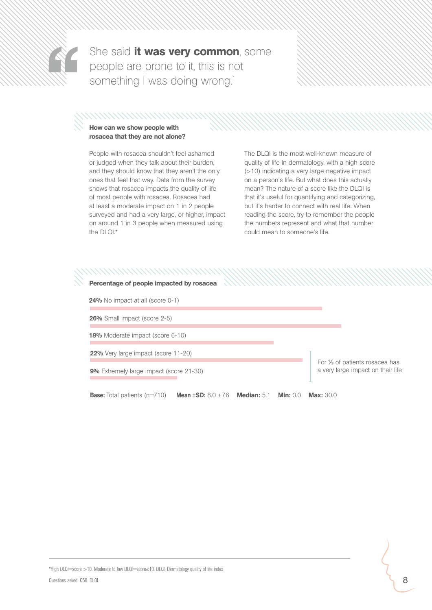

She said it was very common, some people are prone to it, this is not something I was doing wrong.<sup>1</sup>

### How can we show people with

### rosacea that they are not alone?

*People with rosacea shouldn't feel ashamed or judged when they talk about their burden, and they should know that they aren't the only ones that feel that way. Data from the survey shows that rosacea impacts the quality of life of most people with rosacea. Rosacea had at least a moderate impact on 1 in 2 people surveyed and had a very large, or higher, impact on around 1 in 3 people when measured using the DLQI.\** 

*The DLQI is the most well-known measure of quality of life in dermatology, with a high score (*>*10) indicating a very large negative impact on a person's life. But what does this actually mean? The nature of a score like the DLQI is that it's useful for quantifying and categorizing, but it's harder to connect with real life. When reading the score, try to remember the people the numbers represent and what that number could mean to someone's life.* 

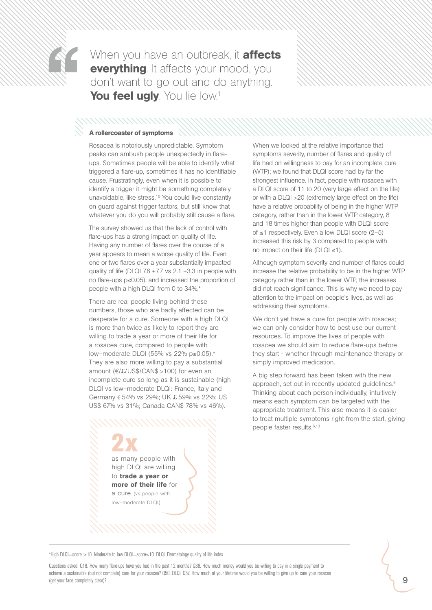

When you have an outbreak, it **affects everything**. It affects your mood, you don't want to go out and do anything. You feel ugly. You lie low.<sup>1</sup>

#### A rollercoaster of symptoms

*Rosacea is notoriously unpredictable. Symptom peaks can ambush people unexpectedly in flareups. Sometimes people will be able to identify what triggered a flare-up, sometimes it has no identifiable cause. Frustratingly, even when it is possible to identify a trigger it might be something completely unavoidable, like stress.10 You could live constantly on guard against trigger factors, but still know that whatever you do you will probably still cause a flare.* 

*The survey showed us that the lack of control with flare-ups has a strong impact on quality of life. Having any number of flares over the course of a year appears to mean a worse quality of life. Even one or two flares over a year substantially impacted quality of life (DLQI 7.6* ±*7.7 vs 2.1* ±*3.3 in people with no flare-ups p*≤*0.05), and increased the proportion of people with a high DLQI from 0 to 34%.\**

*There are real people living behind these numbers, those who are badly affected can be desperate for a cure. Someone with a high DLQI is more than twice as likely to report they are willing to trade a year or more of their life for a rosacea cure, compared to people with low–moderate DLQI (55% vs 22% p*≤*0.05).\* They are also more willing to pay a substantial amount (*€*/£/US\$/CAN\$* >*100) for even an incomplete cure so long as it is sustainable (high DLQI vs low–moderate DLQI: France, Italy and Germany* € *54% vs 29%; UK £ 59% vs 22%; US US\$ 67% vs 31%; Canada CAN\$ 78% vs 46%).*

> *2x as many people with high DLQI are willing to* trade a year or more of their life *for a cure (vs people with low–moderate DLQI)*

*When we looked at the relative importance that symptoms severity, number of flares and quality of life had on willingness to pay for an incomplete cure (WTP); we found that DLQI score had by far the strongest influence. In fact, people with rosacea with a DLQI score of 11 to 20 (very large effect on the life) or with a DLQI* >*20 (extremely large effect on the life) have a relative probability of being in the higher WTP category, rather than in the lower WTP category, 8 and 18 times higher than people with DLQI score of* ≤*1 respectively. Even a low DLQI score (2–5) increased this risk by 3 compared to people with no impact on their life (DLQI* ≤*1).*

*Although symptom severity and number of flares could increase the relative probability to be in the higher WTP category rather than in the lower WTP, the increases did not reach significance. This is why we need to pay attention to the impact on people's lives, as well as addressing their symptoms.*

*We don't yet have a cure for people with rosacea; we can only consider how to best use our current resources. To improve the lives of people with rosacea we should aim to reduce flare-ups before they start - whether through maintenance therapy or simply improved medication.* 

*A big step forward has been taken with the new approach, set out in recently updated guidelines.6 Thinking about each person individually, intuitively means each symptom can be targeted with the appropriate treatment. This also means it is easier to treat multiple symptoms right from the start, giving people faster results.6,13*

\*High DLQI=score >10. Moderate to low DLQI=score≤10. DLQI, Dermatology quality of life index

Questions asked: Q18. How many flare-ups have you had in the past 12 months? Q38. How much money would you be willing to pay in a single payment to achieve a sustainable (but not complete) cure for your rosacea? Q50. DLQI. Q57. How much of your lifetime would you be willing to give up to cure your rosacea (get your face completely clear)?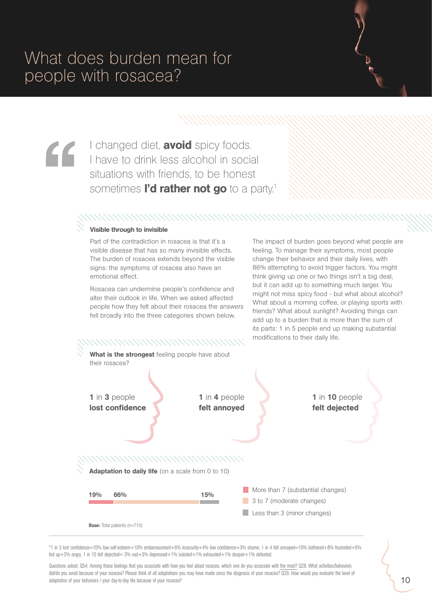" I changed diet, **avoid** spicy foods. I have to drink less alcohol in social situations with friends, to be honest sometimes **I'd rather not go** to a party.<sup>1</sup>

#### Visible through to invisible

*Part of the contradiction in rosacea is that it's a visible disease that has so many invisible effects. The burden of rosacea extends beyond the visible signs: the symptoms of rosacea also have an emotional effect.* 

*Rosacea can undermine people's confidence and alter their outlook in life. When we asked affected people how they felt about their rosacea the answers fell broadly into the three categories shown below.*

*The impact of burden goes beyond what people are feeling. To manage their symptoms, most people change their behavior and their daily lives, with 86% attempting to avoid trigger factors. You might think giving up one or two things isn't a big deal, but it can add up to something much larger. You might not miss spicy food - but what about alcohol? What about a morning coffee, or playing sports with friends? What about sunlight? Avoiding things can add up to a burden that is more than the sum of its parts: 1 in 5 people end up making substantial modifications to their daily life.* 



\*1 in 3 lost confidence=10% low self-esteem+10% embarrassment+6% insecurity+4% low confidence+3% shame, 1 in 4 felt annoyed=10% bothered+8% frustrated+6% fed up+2% angry, 1 in 10 felt dejected= 3% sad+3% depressed+1% isolated+1% exhausted+1% despair+1% defeated.

Questions asked: Q54: Among these feelings that you associate with how you feel about rosacea, which one do you associate with the most? Q28. What activities/behaviors did/do you avoid because of your rosacea? Please think of all adaptations you may have made since the diagnosis of your rosacea? Q29. How would you evaluate the level of adaptation of your behaviors / your day-to-day life because of your rosacea?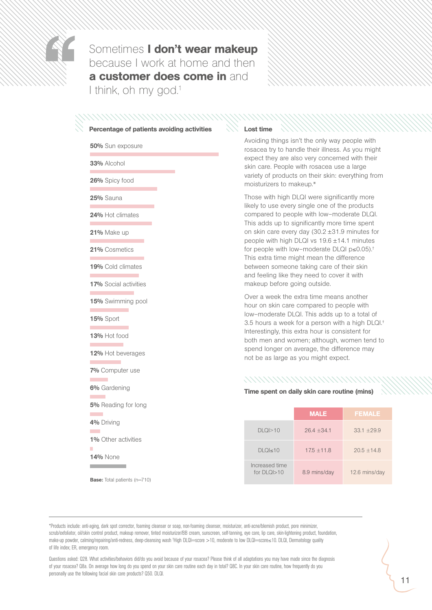

Sometimes I don't wear makeup because I work at home and then a customer does come in and I think, oh my god.<sup>1</sup>

#### Percentage of patients avoiding activities

50% *Sun exposure*

33% *Alcohol*

26% *Spicy food*

25% *Sauna*

24% *Hot climates*

21% *Make up*

21% *Cosmetics*

19% *Cold climates*

17% *Social activities*

15% *Swimming pool*

15% *Sport*

**COL** 

13% *Hot food* **Contract Contract Contract** 

12% *Hot beverages*

7% *Computer use*

6% *Gardening*

5% *Reading for long*

4% *Driving*

 $\mathcal{L}$ ۰

1% *Other activities*

14% *None***The Common State** 

Base: *Total patients (n=710)*

#### Lost time

*Avoiding things isn't the only way people with rosacea try to handle their illness. As you might expect they are also very concerned with their skin care. People with rosacea use a large variety of products on their skin: everything from moisturizers to makeup.*\*

*Those with high DLQI were significantly more likely to use every single one of the products compared to people with low–moderate DLQI. This adds up to significantly more time spent on skin care every day (30.2* ±*31.9 minutes for people with high DLQI vs 19.6* ±*14.1 minutes for people with low–moderate DLQI p*≤*0.05).† This extra time might mean the difference between someone taking care of their skin and feeling like they need to cover it with makeup before going outside.* 

*Over a week the extra time means another hour on skin care compared to people with low–moderate DLQI. This adds up to a total of 3.5 hours a week for a person with a high DLQI.*† *Interestingly, this extra hour is consistent for both men and women; although, women tend to spend longer on average, the difference may not be as large as you might expect.*

#### *NNNNNNNNNNNN*

#### Time spent on daily skin care routine (mins)

|                                 | <b>MALE</b>   | <b>FEMALE</b> |
|---------------------------------|---------------|---------------|
| $DLO$ $>10$                     | $26.4 + 34.1$ | $33.1 + 29.9$ |
| $DLQI \leq 10$                  | $17.5 + 11.8$ | $20.5 + 14.8$ |
| Increased time<br>for $DIQI>10$ | 8.9 mins/day  | 12.6 mins/day |

\*Products include: anti-aging, dark spot corrector, foaming cleanser or soap, non-foaming cleanser, moisturizer, anti-acne/blemish product, pore minimizer, scrub/exfoliator, oil/skin control product, makeup remover, tinted moisturizer/BB cream, sunscreen, self-tanning, eye care, lip care, skin-lightening product, foundation, make-up powder, calming/repairing/anti-redness, deep-cleansing wash 1High DLQI—score >10, moderate to low DLQI—score≤10. DLQI, Dermatology quality of life index; ER, emergency room.

Questions asked: Q28. What activities/behaviors did/do you avoid because of your rosacea? Please think of all adaptations you may have made since the diagnosis of your rosacea? Q8a. On average how long do you spend on your skin care routine each day in total? Q8C. In your skin care routine, how frequently do you personally use the following facial skin care products? Q50. DLQI.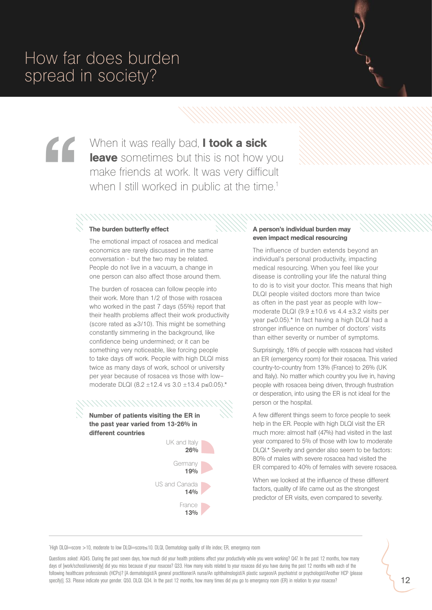# How far does burden spread in society?

When it was really bad, **I took a sick** leave sometimes but this is not how you make friends at work. It was very difficult when I still worked in public at the time.<sup>1</sup>

#### The burden butterfly effect

*The emotional impact of rosacea and medical economics are rarely discussed in the same conversation - but the two may be related. People do not live in a vacuum, a change in one person can also affect those around them.* 

*The burden of rosacea can follow people into their work. More than 1/2 of those with rosacea who worked in the past 7 days (55%) report that their health problems affect their work productivity (score rated as* ≥*3/10). This might be something constantly simmering in the background, like confidence being undermined; or it can be something very noticeable, like forcing people to take days off work. People with high DLQI miss twice as many days of work, school or university per year because of rosacea vs those with low– moderate DLQI (8.2* ±*12.4 vs 3.0* ±*13.4 p*≤*0.05).\**

Number of patients visiting the ER in the past year varied from 13-26% in **the past year varied from 13-26% in** different countries different countries

,,,,,,,,,,,,,,,,,,,,,



#### A person's individual burden may even impact medical resourcing

*The influence of burden extends beyond an individual's personal productivity, impacting medical resourcing. When you feel like your disease is controlling your life the natural thing to do is to visit your doctor. This means that high DLQI people visited doctors more than twice as often in the past year as people with low– moderate DLQI (9.9* ±*10.6 vs 4.4* ±*3.2 visits per year p*≤*0.05).\* In fact having a high DLQI had a stronger influence on number of doctors' visits than either severity or number of symptoms.*

*Surprisingly, 18% of people with rosacea had visited an ER (emergency room) for their rosacea. This varied country-to-country from 13% (France) to 26% (UK and Italy). No matter which country you live in, having people with rosacea being driven, through frustration or desperation, into using the ER is not ideal for the person or the hospital.*

**A** few different things seem to force people to seek **risiting the ER in** *help in the ER. People with high DLQI visit the ER much more: almost half (47%) had visited in the last year compared to 5% of those with low to moderate DLQI.\* Severity and gender also seem to be factors: 80% of males with severe rosacea had visited the ER compared to 40% of females with severe rosacea.*

> *When we looked at the influence of these different factors, quality of life came out as the strongest predictor of ER visits, even compared to severity.*

\* High DLQI=score >10, moderate to low DLQI=score≤10. DLQI, Dermatology quality of life index; ER, emergency room

Questions asked: AQ45. During the past seven days, how much did your health problems affect your productivity while you were working? Q47. In the past 12 months, how many days of [work/school/university] did you miss because of your rosacea? Q33. How many visits related to your rosacea did you have during the past 12 months with each of the following healthcare professionals (HCPs)? [A dermatologist/A general practitioner/A nurse/An ophthalmologist/A plastic surgeon/A psychiatrist or psychologist/Another HCP (please specify)]. S3. Please indicate your gender. Q50. DLQI. Q34. In the past 12 months, how many times did you go to emergency room (ER) in relation to your rosacea?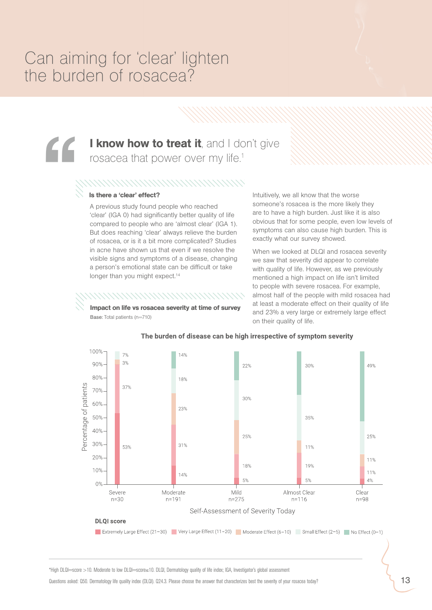## Can aiming for 'clear' lighten the burden of rosacea?

# I know how to treat it, and I don't give rosacea that power over my life.<sup>1</sup> "

#### 

#### Is there a 'clear' effect?

*Base: Total patients (n=710)*

*A previous study found people who reached 'clear' (IGA 0) had significantly better quality of life compared to people who are 'almost clear' (IGA 1). But does reaching 'clear' always relieve the burden of rosacea, or is it a bit more complicated? Studies in acne have shown us that even if we resolve the visible signs and symptoms of a disease, changing a person's emotional state can be difficult or take longer than you might expect.14*

Impact on life vs rosacea severity at time of survey

*Intuitively, we all know that the worse someone's rosacea is the more likely they are to have a high burden. Just like it is also obvious that for some people, even low levels of symptoms can also cause high burden. This is exactly what our survey showed.* 

*When we looked at DLQI and rosacea severity we saw that severity did appear to correlate with quality of life. However, as we previously mentioned a high impact on life isn't limited to people with severe rosacea. For example, almost half of the people with mild rosacea had at least a moderate effect on their quality of life and 23% a very large or extremely large effect on their quality of life.*



#### The burden of disease can be high irrespective of symptom severity

\*High DLQI=score >10. Moderate to low DLQI=score≤10. DLQI, Dermatology quality of life index; IGA, Investigator's global assessment

Questions asked: Q50. Dermatology life quality index (DLQI). Q24.3. Please choose the answer that characterizes best the severity of your rosacea today?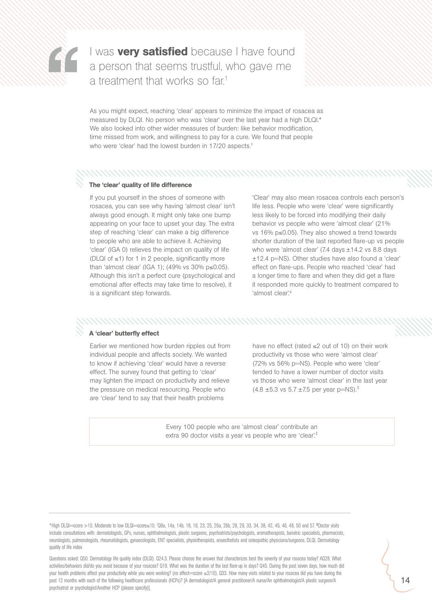

I was **very satisfied** because I have found a person that seems trustful, who gave me a treatment that works so far.<sup>1</sup>

*As you might expect, reaching 'clear' appears to minimize the impact of rosacea as measured by DLQI. No person who was 'clear' over the last year had a high DLQI.\* We also looked into other wider measures of burden: like behavior modification, time missed from work, and willingness to pay for a cure. We found that people who were 'clear' had the lowest burden in 17/20 aspects.*†

#### The 'clear' quality of life difference

*If you put yourself in the shoes of someone with rosacea, you can see why having 'almost clear' isn't always good enough. It might only take one bump appearing on your face to upset your day. The extra step of reaching 'clear' can make a big difference to people who are able to achieve it. Achieving 'clear' (IGA 0) relieves the impact on quality of life (DLQI of* ≤*1) for 1 in 2 people, significantly more than 'almost clear' (IGA 1); (49% vs 30% p*≤*0.05). Although this isn't a perfect cure (psychological and emotional after effects may take time to resolve), it is a significant step forwards.*

*'Clear' may also mean rosacea controls each person's life less. People who were 'clear' were significantly less likely to be forced into modifying their daily behavior vs people who were 'almost clear' (21% vs 16% p*≤*0.05). They also showed a trend towards shorter duration of the last reported flare-up vs people who were 'almost clear' (7.4 days* ±*14.2 vs 8.8 days* ±*12.4 p=NS). Other studies have also found a 'clear' effect on flare-ups. People who reached 'clear' had a longer time to flare and when they did get a flare it responded more quickly to treatment compared to 'almost clear'.4*

#### A 'clear' butterfly effect

*Earlier we mentioned how burden ripples out from individual people and affects society. We wanted to know if achieving 'clear' would have a reverse effect. The survey found that getting to 'clear' may lighten the impact on productivity and relieve the pressure on medical resourcing. People who are 'clear' tend to say that their health problems* 

*have no effect (rated* ≤*2 out of 10) on their work productivity vs those who were 'almost clear' (72% vs 56% p=NS). People who were 'clear' tended to have a lower number of doctor visits vs those who were 'almost clear' in the last year (4.8* ±*5.3 vs 5.7* ±*7.5 per year p=NS).*‡

*Every 100 people who are 'almost clear' contribute an extra 90 doctor visits a year vs people who are 'clear'.*‡

<sup>\*</sup>High DLQI=score >10. Moderate to low DLQI=score≤10. † Q8a, 14a, 14b, 18, 19, 23, 25, 26a, 26b, 28, 29, 33, 34, 38, 42, 45, 46, 48, 50 and 57. **‡** Doctor visits include consultations with: dermatologists, GPs, nurses, ophthalmologists, plastic surgeons, psychiatrists/psychologists, aromatherapists, bariatric specialists, pharmacists, neurologists, pulmonologists, rheumatologists, gynaecologists, ENT specialists, physiotherapists, anaesthetists and osteopathic physicians/surgeons. DLQI, Dermatology quality of life index

Questions asked: Q50. Dermatology life quality index (DLQI). Q24.3. Please choose the answer that characterizes best the severity of your rosacea today? AQ28. What activities/behaviors did/do you avoid because of your rosacea? Q19. What was the duration of the last flare-up in days? Q45. During the past seven days, how much did your health problems affect your productivity while you were working? (no effect=score ≤2/10). Q33. How many visits related to your rosacea did you have during the past 12 months with each of the following healthcare professionals (HCPs)? [A dermatologist/A general practitioner/A nurse/An ophthalmologist/A plastic surgeon/A psychiatrist or psychologist/Another HCP (please specify)].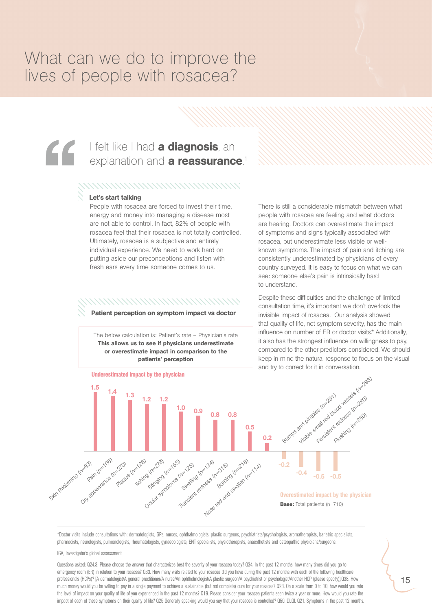### What can we do to improve the lives of people with rosacea?

# I felt like I had a diagnosis, an<br>explanation and a reassurance<br>NHAMANANANANANANANANANANAN<br>Let's start talking<br>People with rosacea are forced to invest their time, explanation and **a reassurance**.<sup>1</sup>

#### Let's start talking

*People with rosacea are forced to invest their time, energy and money into managing a disease most are not able to control. In fact, 82% of people with rosacea feel that their rosacea is not totally controlled. Ultimately, rosacea is a subjective and entirely individual experience. We need to work hard on putting aside our preconceptions and listen with fresh ears every time someone comes to us.*

### *MMMMMMMMMWW*

Patient perception on symptom impact vs doctor

*The below calculation is: Patient's rate – Physician's rate*  This allows us to see if physicians underestimate or overestimate impact in comparison to the patients' perception

*There is still a considerable mismatch between what people with rosacea are feeling and what doctors are hearing. Doctors can overestimate the impact of symptoms and signs typically associated with rosacea, but underestimate less visible or wellknown symptoms. The impact of pain and itching are consistently underestimated by physicians of every country surveyed. It is easy to focus on what we can see: someone else's pain is intrinsically hard to understand.* 

*Despite these difficulties and the challenge of limited consultation time, it's important we don't overlook the invisible impact of rosacea. Our analysis showed that quality of life, not symptom severity, has the main influence on number of ER or doctor visits.\* Additionally, it also has the strongest influence on willingness to pay, compared to the other predictors considered. We should keep in mind the natural response to focus on the visual and try to correct for it in conversation.*



\*Doctor visits include consultations with: dermatologists, GPs, nurses, ophthalmologists, plastic surgeons, psychiatrists/psychologists, aromatherapists, bariatric specialists, pharmacists, neurologists, pulmonologists, rheumatologists, gynaecologists, ENT specialists, physiotherapists, anaesthetists and osteopathic physicians/surgeons.

#### IGA, Investigator's global assessment

Questions asked: Q24.3. Please choose the answer that characterizes best the severity of your rosacea today? Q34. In the past 12 months, how many times did you go to emergency room (ER) in relation to your rosacea? Q33. How many visits related to your rosacea did you have during the past 12 months with each of the following healthcare professionals (HCPs)? [A dermatologist/A general practitioner/A nurse/An ophthalmologist/A plastic surgeon/A psychiatrist or psychologist/Another HCP (please specify)].Q38. How much money would you be willing to pay in a single payment to achieve a sustainable (but not complete) cure for your rosacea? Q23. On a scale from 0 to 10, how would you rate the level of impact on your quality of life of you experienced in the past 12 months? Q19. Please consider your rosacea patients seen twice a year or more. How would you rate the impact of each of these symptoms on their quality of life? Q25 Generally speaking would you say that your rosacea is controlled? Q50. DLQI. Q21. Symptoms in the past 12 months.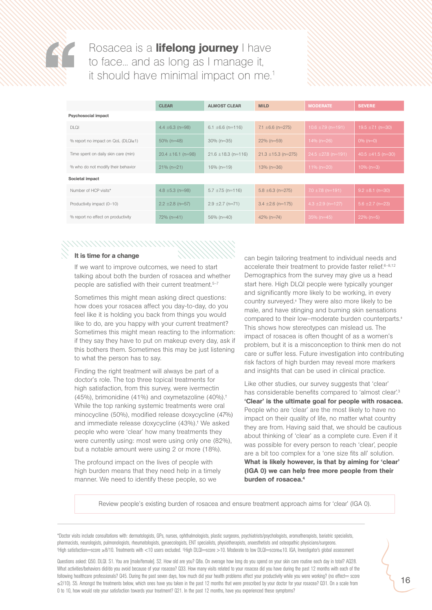

Rosacea is a *lifelong journey* I have to face... and as long as I manage it, it should have minimal impact on me.<sup>1</sup>

|                                               | <b>CLEAR</b>           | <b>ALMOST CLEAR</b>     | <b>MILD</b>             | <b>MODERATE</b>         | <b>SEVERE</b>          |  |  |
|-----------------------------------------------|------------------------|-------------------------|-------------------------|-------------------------|------------------------|--|--|
| <b>Psychosocial impact</b>                    |                        |                         |                         |                         |                        |  |  |
| <b>DLQI</b>                                   | 4.4 $\pm$ 6.3 (n=98)   | 6.1 $\pm$ 6.6 (n=116)   | 7.1 $\pm 6.6$ (n=275)   | $10.6 \pm 7.9$ (n=191)  | 19.5 $\pm$ 7.1 (n=30)  |  |  |
| % report no impact on $QoL$ ( $DLQI \leq 1$ ) | $50\%$ (n=48)          | $30\%$ (n=35)           | $22\%$ (n=59)           | 14% ( $n=26$ )          | $0\%$ (n=0)            |  |  |
| Time spent on daily skin care (min)           | $20.4 \pm 16.1$ (n=98) | $21.6 \pm 18.3$ (n=116) | $21.3 \pm 15.3$ (n=275) | $24.5 \pm 27.8$ (n=191) | 40.5 $\pm$ 41.5 (n=30) |  |  |
| % who do not modify their behavior            | $21\%$ (n=21)          | $16\%$ (n=19)           | $13\%$ (n=36)           | 11% (n=20)              | $10\% (n=3)$           |  |  |
| Societal impact                               |                        |                         |                         |                         |                        |  |  |
| Number of HCP visits*                         | 4.8 $\pm$ 5.3 (n=98)   | $5.7 \pm 7.5$ (n=116)   | $5.8 \pm 6.3$ (n=275)   | $7.0 \pm 7.8$ (n=191)   | $9.2 \pm 8.1$ (n=30)   |  |  |
| Productivity impact (0-10)                    | $2.2 \pm 2.8$ (n=57)   | $2.9 \pm 2.7$ (n=71)    | $3.4 \pm 2.6$ (n=175)   | $4.3 \pm 2.9$ (n=127)   | $5.6 \pm 2.7$ (n=23)   |  |  |
| % report no effect on productivity            | 72% (n=41)             | 56% (n=40)              | $42\%$ (n=74)           | $35\%$ (n=45)           | $22\%$ (n=5)           |  |  |

#### It is time for a change

*If we want to improve outcomes, we need to start talking about both the burden of rosacea and whether people are satisfied with their current treatment.5–7*

*Sometimes this might mean asking direct questions: how does your rosacea affect you day-to-day, do you feel like it is holding you back from things you would like to do, are you happy with your current treatment? Sometimes this might mean reacting to the information: if they say they have to put on makeup every day, ask if this bothers them. Sometimes this may be just listening to what the person has to say.* 

*Finding the right treatment will always be part of a doctor's role. The top three topical treatments for high satisfaction, from this survey, were ivermectin (45%), brimonidine (41%) and oxymetazoline (40%).† While the top ranking systemic treatments were oral minocycline (50%), modified release doxycycline (47%) and immediate release doxycycline (43%).† We asked people who were 'clear' how many treatments they were currently using: most were using only one (82%), but a notable amount were using 2 or more (18%).* 

*The profound impact on the lives of people with high burden means that they need help in a timely manner. We need to identify these people, so we* 

*can begin tailoring treatment to individual needs and accelerate their treatment to provide faster relief.6–8,12 Demographics from the survey may give us a head start here. High DLQI people were typically younger and significantly more likely to be working, in every country surveyed.*‡  *They were also more likely to be male, and have stinging and burning skin sensations compared to their low–moderate burden counterparts.*‡ *This shows how stereotypes can mislead us. The impact of rosacea is often thought of as a women's problem, but it is a misconception to think men do not care or suffer less. Future investigation into contributing risk factors of high burden may reveal more markers and insights that can be used in clinical practice.*

*Like other studies, our survey suggests that 'clear' has considerable benefits compared to 'almost clear'.3* 'Clear' is the ultimate goal for people with rosacea. *People who are 'clear' are the most likely to have no impact on their quality of life, no matter what country they are from. Having said that, we should be cautious about thinking of 'clear' as a complete cure. Even if it was possible for every person to reach 'clear', people are a bit too complex for a 'one size fits all' solution.*  What is likely however, is that by aiming for 'clear' (IGA 0) we can help free more people from their burden of rosacea.4

*Review people's existing burden of rosacea and ensure treatment approach aims for 'clear' (IGA 0).*

\*Doctor visits include consultations with: dermatologists, GPs, nurses, ophthalmologists, plastic surgeons, psychiatrists/psychologists, aromatherapists, bariatric specialists, pharmacists, neurologists, pulmonologists, rheumatologists, gynaecologists, ENT specialists, physiotherapists, anaesthetists and osteopathic physicians/surgeons. 1High satisfaction—score ≥8/10. Treatments with <10 users excluded. ‡High DLQI—score >10. Moderate to low DLQI—score≤10. IGA, Investigator's global assessment

Questions asked: Q50. DLQI. S1. You are [male/female]. S2. How old are you? Q8a. On average how long do you spend on your skin care routine each day in total? AQ28. What activities/behaviors did/do you avoid because of your rosacea? Q33. How many visits related to your rosacea did you have during the past 12 months with each of the following healthcare professionals? Q45. During the past seven days, how much did your health problems affect your productivity while you were working? (no effect= score ≤2/10). S5. Amongst the treatments below, which ones have you taken in the past 12 months that were prescribed by your doctor for your rosacea? Q31. On a scale from 0 to 10, how would rate your satisfaction towards your treatment? Q21. In the past 12 months, have you experienced these symptoms?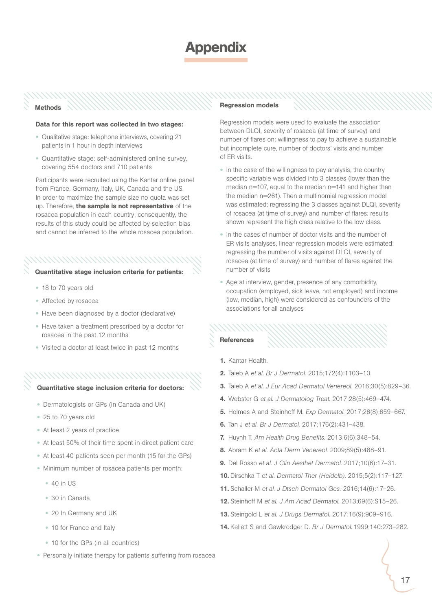### **DDendix**

#### Methods

#### Data for this report was collected in two stages:

- **•** *Qualitative stage: telephone interviews, covering 21 patients in 1 hour in depth interviews*
- **•** *Quantitative stage: self-administered online survey, covering 554 doctors and 710 patients*

Participants were recruited using the Kantar online panel *from France, Germany, Italy, UK, Canada and the US. In order to maximize the sample size no quota was set up. Therefore,* the sample is not representative *of the rosacea population in each country; consequently, the results of this study could be affected by selection bias and cannot be inferred to the whole rosacea population.* 

#### 

- Quantitative stage inclusion criteria for patients:
	- **•** *18 to 70 years old*
	- **•** *Affected by rosacea*
	- **•** *Have been diagnosed by a doctor (declarative)*
	- **•** *Have taken a treatment prescribed by a doctor for rosacea in the past 12 months*
	- **•** *Visited a doctor at least twice in past 12 months*

### *MMMMMMMMMMM*

#### Quantitative stage inclusion criteria for doctors:

- **•** *Dermatologists or GPs (in Canada and UK)*
- **•** *25 to 70 years old*
- **•** *At least 2 years of practice*
- **•** *At least 50% of their time spent in direct patient care*
- **•** *At least 40 patients seen per month (15 for the GPs)*
- **•** *Minimum number of rosacea patients per month:*
	- **•** *40 in US*
	- **•** *30 in Canada*
	- **•** *20 In Germany and UK*
	- **•** *10 for France and Italy*
	- **•** *10 for the GPs (in all countries)*

#### **•** *Personally initiate therapy for patients suffering from rosacea*

#### Regression models

*Regression models were used to evaluate the association between DLQI, severity of rosacea (at time of survey) and number of flares on: willingness to pay to achieve a sustainable but incomplete cure, number of doctors' visits and number of ER visits.*

- **•** *In the case of the willingness to pay analysis, the country specific variable was divided into 3 classes (lower than the median n=107, equal to the median n=141 and higher than the median n=261). Then a multinomial regression model was estimated: regressing the 3 classes against DLQI, severity of rosacea (at time of survey) and number of flares: results shown represent the high class relative to the low class.*
- **•** *In the cases of number of doctor visits and the number of ER visits analyses, linear regression models were estimated: regressing the number of visits against DLQI, severity of*  rosacea (at time of survey) and number of flares against the *number of visits*
- **•** *Age at interview, gender, presence of any comorbidity, occupation (employed, sick leave, not employed) and income (low, median, high) were considered as confounders of the associations for all analyses*

#### References

- 1. *Kantar Health.*
- 2. *Taieb A et al. Br J Dermatol. 2015;172(4):1103–10.*
- 3. *Taieb A et al. J Eur Acad Dermatol Venereol. 2016;30(5):829–36.*
- 4. *Webster G et al. J Dermatolog Treat. 2017;28(5):469–474.*
- 5. *Holmes A and Steinhoff M. Exp Dermatol. 2017;26(8):659–667.*
- 6. *Tan J et al. Br J Dermatol. 2017;176(2):431–438.*
- 7. *Huynh T. Am Health Drug Benefits. 2013;6(6):348–54.*
- 8. *Abram K et al. Acta Derm Venereol. 2009;89(5):488–91.*
- 9. *Del Rosso et al. J Clin Aesthet Dermatol. 2017;10(6):17–31.*
- 10. *Dirschka T et al. Dermatol Ther (Heidelb). 2015;5(2):117–127.*
- 11. *Schaller M et al. J Dtsch Dermatol Ges. 2016;14(6):17–26.*
- 12. *Steinhoff M et al. J Am Acad Dermatol. 2013;69(6):S15–26.*
- 13. *Steingold L et al. J Drugs Dermatol. 2017;16(9):909–916.*
- 14. *Kellett S and Gawkrodger D. Br J Dermatol. 1999;140:273–282.*